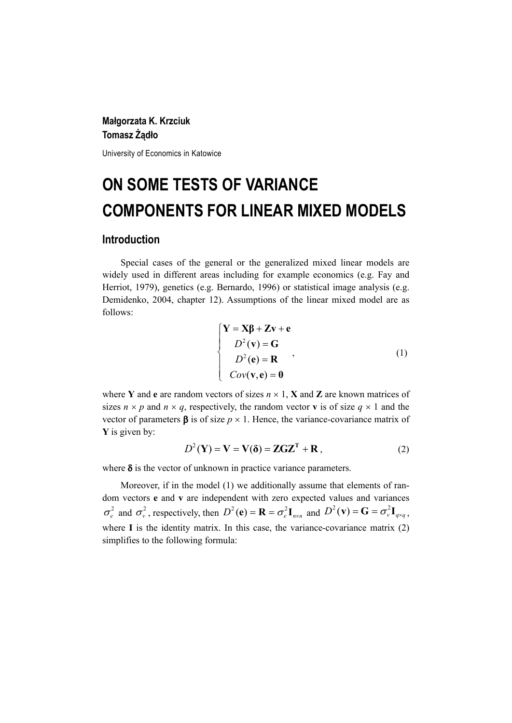## **Małgorzata K. Krzciuk Tomasz Żądło**

University of Economics in Katowice

# **ON SOME TESTS OF VARIANCE COMPONENTS FOR LINEAR MIXED MODELS**

### **Introduction**

Special cases of the general or the generalized mixed linear models are widely used in different areas including for example economics (e.g. Fay and Herriot, 1979), genetics (e.g. Bernardo, 1996) or statistical image analysis (e.g. Demidenko, 2004, chapter 12). Assumptions of the linear mixed model are as follows:

$$
\begin{cases}\n\mathbf{Y} = \mathbf{X}\boldsymbol{\beta} + \mathbf{Z}\mathbf{v} + \mathbf{e} \\
D^2(\mathbf{v}) = \mathbf{G} \\
D^2(\mathbf{e}) = \mathbf{R} \\
Cov(\mathbf{v}, \mathbf{e}) = \mathbf{0}\n\end{cases}
$$
\n(1)

where **Y** and **e** are random vectors of sizes  $n \times 1$ , **X** and **Z** are known matrices of sizes  $n \times p$  and  $n \times q$ , respectively, the random vector **v** is of size  $q \times 1$  and the vector of parameters  $\beta$  is of size  $p \times 1$ . Hence, the variance-covariance matrix of **Y** is given by:

$$
D^{2}(\mathbf{Y}) = \mathbf{V} = \mathbf{V}(\delta) = \mathbf{ZGZ}^{T} + \mathbf{R},
$$
 (2)

where  $\delta$  is the vector of unknown in practice variance parameters.

Moreover, if in the model (1) we additionally assume that elements of random vectors **e** and **v** are independent with zero expected values and variances  $\sigma_e^2$  and  $\sigma_v^2$ , respectively, then  $D^2(\mathbf{e}) = \mathbf{R} = \sigma_e^2 \mathbf{I}_{n \times n}$  and  $D^2(\mathbf{v}) = \mathbf{G} = \sigma_v^2 \mathbf{I}_{q \times q}$ , where **I** is the identity matrix. In this case, the variance-covariance matrix (2) simplifies to the following formula: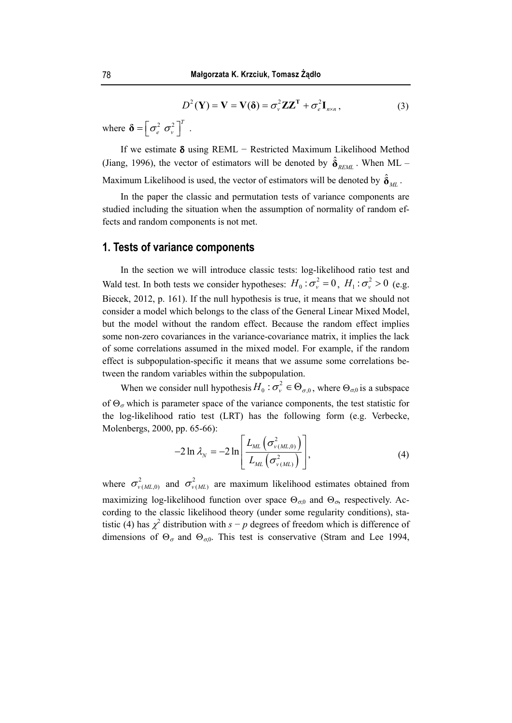$$
D^{2}(\mathbf{Y}) = \mathbf{V} = \mathbf{V}(\delta) = \sigma_{\nu}^{2} \mathbf{Z} \mathbf{Z}^{\mathrm{T}} + \sigma_{e}^{2} \mathbf{I}_{n \times n}, \qquad (3)
$$

where  $\boldsymbol{\delta} = \left[ \sigma_e^2 \ \sigma_v^2 \right]^T$ .

If we estimate δ using REML − Restricted Maximum Likelihood Method (Jiang, 1996), the vector of estimators will be denoted by  $\hat{\delta}_{REML}$ . When ML – Maximum Likelihood is used, the vector of estimators will be denoted by  $\hat{\delta}_{ML}$ .

In the paper the classic and permutation tests of variance components are studied including the situation when the assumption of normality of random effects and random components is not met.

## **1. Tests of variance components**

In the section we will introduce classic tests: log-likelihood ratio test and Wald test. In both tests we consider hypotheses:  $H_0: \sigma_v^2 = 0$ ,  $H_1: \sigma_v^2 > 0$  (e.g. Biecek, 2012, p. 161). If the null hypothesis is true, it means that we should not consider a model which belongs to the class of the General Linear Mixed Model, but the model without the random effect. Because the random effect implies some non-zero covariances in the variance-covariance matrix, it implies the lack of some correlations assumed in the mixed model. For example, if the random effect is subpopulation-specific it means that we assume some correlations between the random variables within the subpopulation.

When we consider null hypothesis  $H_0: \sigma_v^2 \in \Theta_{\sigma,0}$ , where  $\Theta_{\sigma,0}$  is a subspace of  $\Theta_{\sigma}$  which is parameter space of the variance components, the test statistic for the log-likelihood ratio test (LRT) has the following form (e.g. Verbecke, Molenbergs, 2000, pp. 65-66):

$$
-2\ln\lambda_{N} = -2\ln\left[\frac{L_{ML}\left(\sigma_{v(ML,0)}^{2}\right)}{L_{ML}\left(\sigma_{v(ML)}^{2}\right)}\right],\tag{4}
$$

where  $\sigma_{v(ML,0)}^2$  and  $\sigma_{v(ML)}^2$  are maximum likelihood estimates obtained from maximizing log-likelihood function over space  $\Theta_{\sigma,0}$  and  $\Theta_{\sigma}$ , respectively. According to the classic likelihood theory (under some regularity conditions), statistic (4) has  $\chi^2$  distribution with  $s - p$  degrees of freedom which is difference of dimensions of  $\Theta_{\sigma}$  and  $\Theta_{\sigma,0}$ . This test is conservative (Stram and Lee 1994,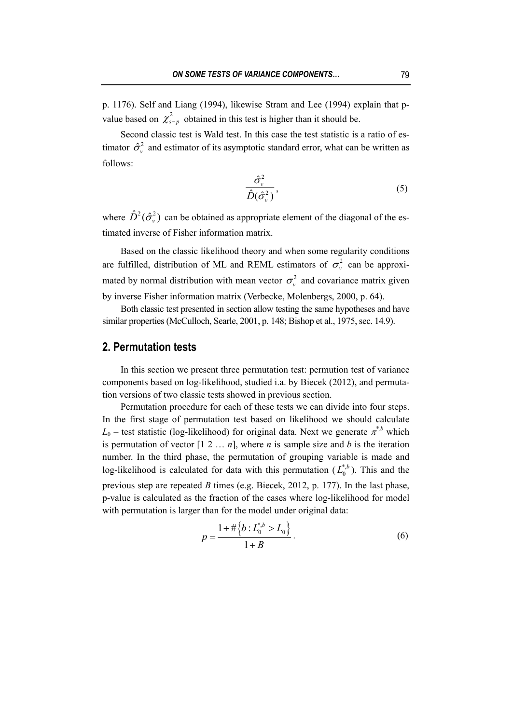p. 1176). Self and Liang (1994), likewise Stram and Lee (1994) explain that pvalue based on  $\chi^2_{s-p}$  obtained in this test is higher than it should be.

Second classic test is Wald test. In this case the test statistic is a ratio of estimator  $\hat{\sigma}_{v}^{2}$  and estimator of its asymptotic standard error, what can be written as follows:

$$
\frac{\hat{\sigma}_{\nu}^2}{\hat{D}(\hat{\sigma}_{\nu}^2)},\tag{5}
$$

where  $\hat{D}^2(\hat{\sigma}_y^2)$  can be obtained as appropriate element of the diagonal of the estimated inverse of Fisher information matrix.

Based on the classic likelihood theory and when some regularity conditions are fulfilled, distribution of ML and REML estimators of  $\sigma_v^2$  can be approximated by normal distribution with mean vector  $\sigma_v^2$  and covariance matrix given by inverse Fisher information matrix (Verbecke, Molenbergs, 2000, p. 64).

Both classic test presented in section allow testing the same hypotheses and have similar properties (McCulloch, Searle, 2001, p. 148; Bishop et al., 1975, sec. 14.9).

#### **2. Permutation tests**

In this section we present three permutation test: permution test of variance components based on log-likelihood, studied i.a. by Biecek (2012), and permutation versions of two classic tests showed in previous section.

Permutation procedure for each of these tests we can divide into four steps. In the first stage of permutation test based on likelihood we should calculate  $L_0$  – test statistic (log-likelihood) for original data. Next we generate  $\pi^{*,b}$  which is permutation of vector  $[1 \ 2 \dots n]$ , where *n* is sample size and *b* is the iteration number. In the third phase, the permutation of grouping variable is made and log-likelihood is calculated for data with this permutation  $(L_0^{*,b})$ . This and the previous step are repeated *B* times (e.g. Biecek, 2012, p. 177). In the last phase, p-value is calculated as the fraction of the cases where log-likelihood for model with permutation is larger than for the model under original data:

$$
p = \frac{1 + \# \{b : L_0^{*,b} > L_0\}}{1 + B}.
$$
 (6)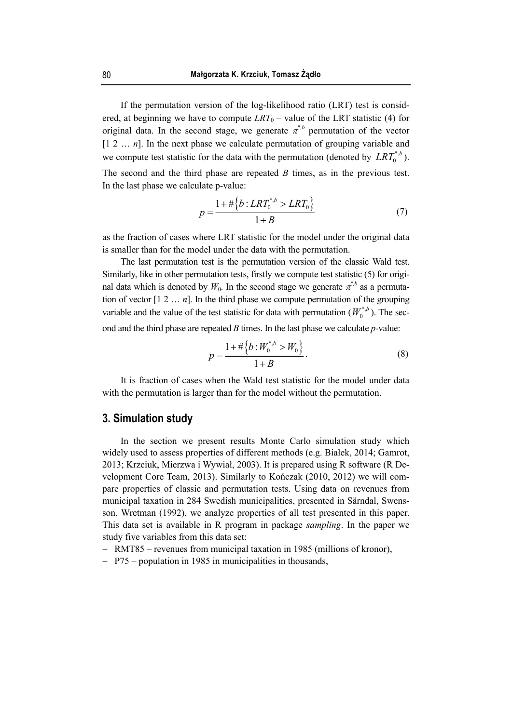If the permutation version of the log-likelihood ratio (LRT) test is considered, at beginning we have to compute  $LRT_0$  – value of the LRT statistic (4) for original data. In the second stage, we generate  $\pi^*$ <sup>*b*</sup> permutation of the vector  $[1 2 ... n]$ . In the next phase we calculate permutation of grouping variable and we compute test statistic for the data with the permutation (denoted by  $LRT_0^{*,b}$ ). The second and the third phase are repeated *B* times, as in the previous test. In the last phase we calculate p-value:

$$
p = \frac{1 + \# \left\{ b : LRT_0^{*,b} > LRT_0 \right\}}{1 + B} \tag{7}
$$

as the fraction of cases where LRT statistic for the model under the original data is smaller than for the model under the data with the permutation.

The last permutation test is the permutation version of the classic Wald test. Similarly, like in other permutation tests, firstly we compute test statistic (5) for original data which is denoted by  $W_0$ . In the second stage we generate  $\pi^{\dot{\phi}}$  as a permutation of vector  $[1 \ 2 \dots n]$ . In the third phase we compute permutation of the grouping variable and the value of the test statistic for data with permutation  $(W_0^{*,b})$ . The second and the third phase are repeated *B* times. In the last phase we calculate *p*-value:

$$
p = \frac{1 + \# \{b : W_0^{*,b} > W_0\}}{1 + B}.
$$
 (8)

It is fraction of cases when the Wald test statistic for the model under data with the permutation is larger than for the model without the permutation.

## **3. Simulation study**

In the section we present results Monte Carlo simulation study which widely used to assess properties of different methods (e.g. Białek, 2014; Gamrot, 2013; Krzciuk, Mierzwa i Wywiał, 2003). It is prepared using R software (R Development Core Team, 2013). Similarly to Kończak (2010, 2012) we will compare properties of classic and permutation tests. Using data on revenues from municipal taxation in 284 Swedish municipalities, presented in Särndal, Swensson, Wretman (1992), we analyze properties of all test presented in this paper. This data set is available in R program in package *sampling*. In the paper we study five variables from this data set:

- − RMT85 revenues from municipal taxation in 1985 (millions of kronor),
- − P75 population in 1985 in municipalities in thousands,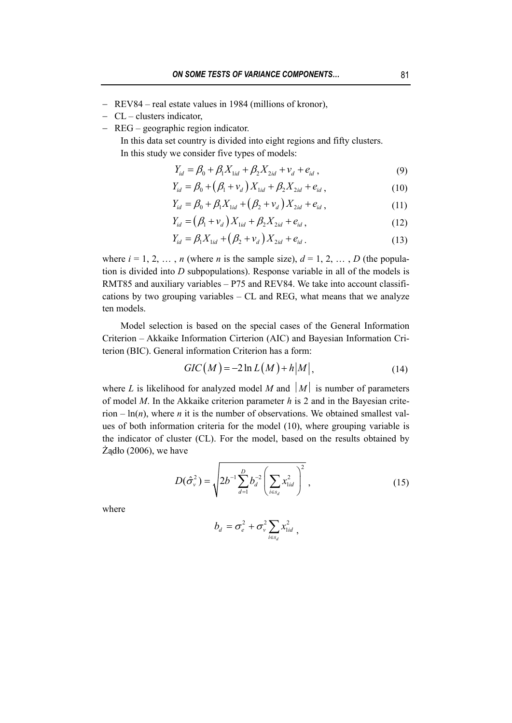- − REV84 real estate values in 1984 (millions of kronor),
- − CL clusters indicator,
- − REG geographic region indicator.

In this data set country is divided into eight regions and fifty clusters. In this study we consider five types of models:

$$
Y_{id} = \beta_0 + \beta_1 X_{1id} + \beta_2 X_{2id} + v_d + e_{id} , \qquad (9)
$$

$$
Y_{id} = \beta_0 + (\beta_1 + \nu_d) X_{1id} + \beta_2 X_{2id} + e_{id} , \qquad (10)
$$

$$
Y_{id} = \beta_0 + \beta_1 X_{1id} + (\beta_2 + v_d) X_{2id} + e_{id} , \qquad (11)
$$

$$
Y_{id} = (\beta_1 + v_d) X_{1id} + \beta_2 X_{2id} + e_{id},
$$
\n(12)

$$
Y_{id} = \beta_1 X_{1id} + (\beta_2 + v_d) X_{2id} + e_{id}.
$$
 (13)

where  $i = 1, 2, \ldots, n$  (where *n* is the sample size),  $d = 1, 2, \ldots, D$  (the population is divided into *D* subpopulations). Response variable in all of the models is RMT85 and auxiliary variables – P75 and REV84. We take into account classifications by two grouping variables – CL and REG, what means that we analyze ten models.

Model selection is based on the special cases of the General Information Criterion – Akkaike Information Cirterion (AIC) and Bayesian Information Criterion (BIC). General information Criterion has a form:

$$
GIC(M) = -2\ln L(M) + h|M|,
$$
\n(14)

where *L* is likelihood for analyzed model *M* and  $|M|$  is number of parameters of model *M*. In the Akkaike criterion parameter *h* is 2 and in the Bayesian criterion  $-\ln(n)$ , where *n* it is the number of observations. We obtained smallest values of both information criteria for the model (10), where grouping variable is the indicator of cluster (CL). For the model, based on the results obtained by Żądło (2006), we have

$$
D(\hat{\sigma}_v^2) = \sqrt{2b^{-1} \sum_{d=1}^D b_d^{-2} \left( \sum_{i \in s_d} x_{1id}^2 \right)^2},
$$
 (15)

where

$$
b_d = \sigma_e^2 + \sigma_v^2 \sum_{i \in s_d} x_{\text{lid}}^2 ,
$$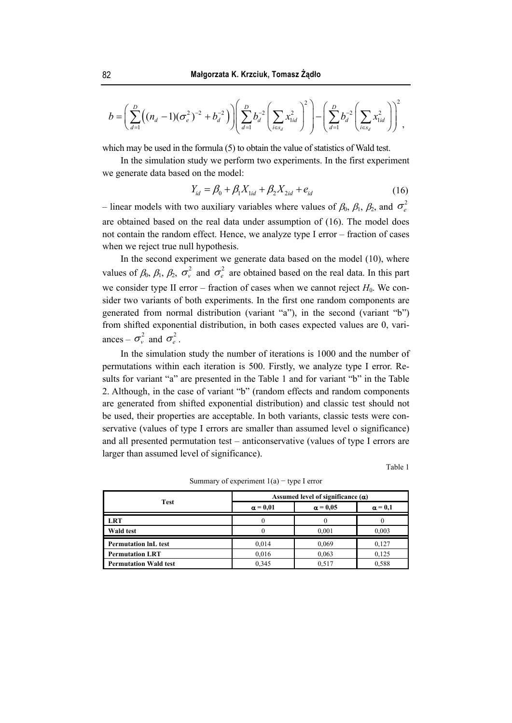$$
b = \left(\sum_{d=1}^{D} \left((n_d - 1)(\sigma_e^2)^{-2} + b_d^{-2}\right)\right) \left(\sum_{d=1}^{D} b_d^{-2} \left(\sum_{i \in s_d} x_{1id}^2\right)^2\right) - \left(\sum_{d=1}^{D} b_d^{-2} \left(\sum_{i \in s_d} x_{1id}^2\right)\right)^2,
$$

which may be used in the formula (5) to obtain the value of statistics of Wald test.

In the simulation study we perform two experiments. In the first experiment we generate data based on the model:

$$
Y_{id} = \beta_0 + \beta_1 X_{1id} + \beta_2 X_{2id} + e_{id}
$$
 (16)

– linear models with two auxiliary variables where values of  $\beta_0$ ,  $\beta_1$ ,  $\beta_2$ , and  $\sigma_e^2$ are obtained based on the real data under assumption of (16). The model does not contain the random effect. Hence, we analyze type I error – fraction of cases when we reject true null hypothesis.

In the second experiment we generate data based on the model (10), where values of  $\beta_0$ ,  $\beta_1$ ,  $\beta_2$ ,  $\sigma_v^2$  and  $\sigma_e^2$  are obtained based on the real data. In this part we consider type II error – fraction of cases when we cannot reject  $H_0$ . We consider two variants of both experiments. In the first one random components are generated from normal distribution (variant "a"), in the second (variant "b") from shifted exponential distribution, in both cases expected values are 0, variances –  $\sigma_v^2$  and  $\sigma_e^2$ .

In the simulation study the number of iterations is 1000 and the number of permutations within each iteration is 500. Firstly, we analyze type I error. Results for variant "a" are presented in the Table 1 and for variant "b" in the Table 2. Although, in the case of variant "b" (random effects and random components are generated from shifted exponential distribution) and classic test should not be used, their properties are acceptable. In both variants, classic tests were conservative (values of type I errors are smaller than assumed level o significance) and all presented permutation test – anticonservative (values of type I errors are larger than assumed level of significance).

Table 1

| Test                         | Assumed level of significance $(\alpha)$ |                 |                |
|------------------------------|------------------------------------------|-----------------|----------------|
|                              | $\alpha = 0.01$                          | $\alpha = 0.05$ | $\alpha = 0.1$ |
| <b>LRT</b>                   |                                          |                 |                |
| <b>Wald test</b>             |                                          | 0.001           | 0.003          |
| <b>Permutation InL test</b>  | 0.014                                    | 0,069           | 0,127          |
| <b>Permutation LRT</b>       | 0,016                                    | 0,063           | 0.125          |
| <b>Permutation Wald test</b> | 0.345                                    | 0.517           | 0.588          |

Summary of experiment  $1(a)$  – type I error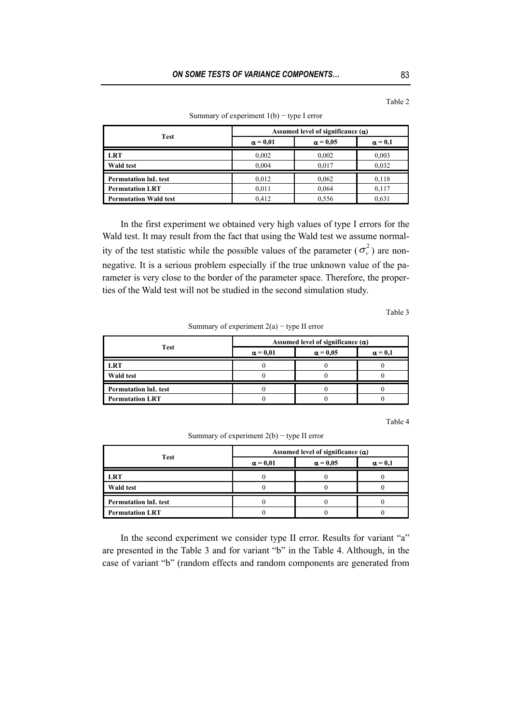Table 2

| <b>Test</b>                  | Assumed level of significance $(\alpha)$ |                 |                |
|------------------------------|------------------------------------------|-----------------|----------------|
|                              | $\alpha = 0.01$                          | $\alpha = 0.05$ | $\alpha = 0.1$ |
| <b>LRT</b>                   | 0,002                                    | 0,002           | 0.003          |
| <b>Wald test</b>             | 0.004                                    | 0,017           | 0,032          |
| <b>Permutation InL test</b>  | 0,012                                    | 0,062           | 0,118          |
| <b>Permutation LRT</b>       | 0,011                                    | 0,064           | 0,117          |
| <b>Permutation Wald test</b> | 0.412                                    | 0,556           | 0.631          |

Summary of experiment  $1(b)$  – type I error

In the first experiment we obtained very high values of type I errors for the Wald test. It may result from the fact that using the Wald test we assume normality of the test statistic while the possible values of the parameter ( $\sigma_v^2$ ) are nonnegative. It is a serious problem especially if the true unknown value of the parameter is very close to the border of the parameter space. Therefore, the properties of the Wald test will not be studied in the second simulation study.

Table 3

Summary of experiment  $2(a)$  – type II error

| <b>Test</b>                 | Assumed level of significance $(\alpha)$ |                 |                |
|-----------------------------|------------------------------------------|-----------------|----------------|
|                             | $\alpha = 0.01$                          | $\alpha = 0.05$ | $\alpha = 0.1$ |
| <b>LRT</b>                  |                                          |                 |                |
| Wald test                   |                                          |                 |                |
| <b>Permutation InL test</b> |                                          |                 |                |
| <b>Permutation LRT</b>      |                                          |                 |                |

Table 4

Summary of experiment  $2(b)$  – type II error

| <b>Test</b>                 | Assumed level of significance $(\alpha)$ |                 |                |
|-----------------------------|------------------------------------------|-----------------|----------------|
|                             | $\alpha = 0.01$                          | $\alpha = 0.05$ | $\alpha = 0.1$ |
| LRT                         |                                          |                 |                |
| <b>Wald test</b>            |                                          |                 |                |
| <b>Permutation InL test</b> |                                          |                 |                |
| <b>Permutation LRT</b>      |                                          |                 |                |

In the second experiment we consider type II error. Results for variant "a" are presented in the Table 3 and for variant "b" in the Table 4. Although, in the case of variant "b" (random effects and random components are generated from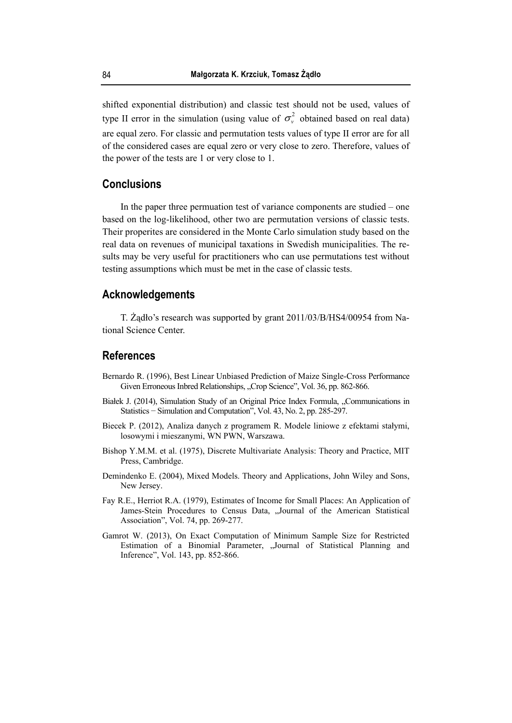shifted exponential distribution) and classic test should not be used, values of type II error in the simulation (using value of  $\sigma_v^2$  obtained based on real data) are equal zero. For classic and permutation tests values of type II error are for all of the considered cases are equal zero or very close to zero. Therefore, values of the power of the tests are 1 or very close to 1.

## **Conclusions**

In the paper three permuation test of variance components are studied – one based on the log-likelihood, other two are permutation versions of classic tests. Their properites are considered in the Monte Carlo simulation study based on the real data on revenues of municipal taxations in Swedish municipalities. The results may be very useful for practitioners who can use permutations test without testing assumptions which must be met in the case of classic tests.

#### **Acknowledgements**

T. Żądło's research was supported by grant 2011/03/B/HS4/00954 from National Science Center.

#### **References**

- Bernardo R. (1996), Best Linear Unbiased Prediction of Maize Single-Cross Performance Given Erroneous Inbred Relationships, "Crop Science", Vol. 36, pp. 862-866.
- Białek J. (2014), Simulation Study of an Original Price Index Formula, "Communications in Statistics − Simulation and Computation", Vol. 43, No. 2, pp. 285-297.
- Biecek P. (2012), Analiza danych z programem R. Modele liniowe z efektami stałymi, losowymi i mieszanymi, WN PWN, Warszawa.
- Bishop Y.M.M. et al. (1975), Discrete Multivariate Analysis: Theory and Practice, MIT Press, Cambridge.
- Demindenko E. (2004), Mixed Models. Theory and Applications, John Wiley and Sons, New Jersey.
- Fay R.E., Herriot R.A. (1979), Estimates of Income for Small Places: An Application of James-Stein Procedures to Census Data, "Journal of the American Statistical Association", Vol. 74, pp. 269-277.
- Gamrot W. (2013), On Exact Computation of Minimum Sample Size for Restricted Estimation of a Binomial Parameter, "Journal of Statistical Planning and Inference", Vol. 143, pp. 852-866.